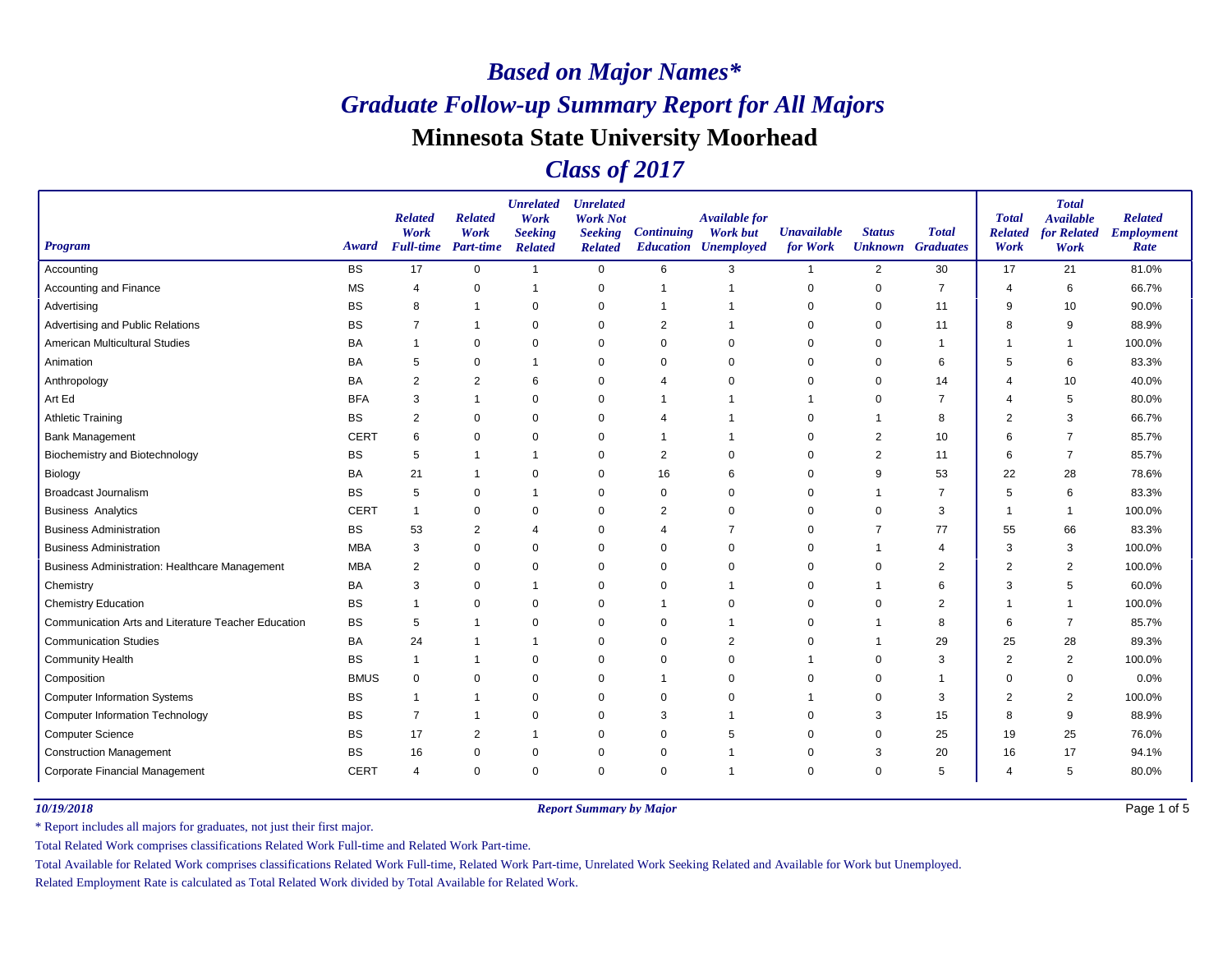### *Class of 2017*

| <b>Program</b>                                        | Award       | <b>Related</b><br>Work<br><b>Full-time</b> | <b>Related</b><br>Work<br><b>Part-time</b> | <b>Unrelated</b><br>Work<br><b>Seeking</b><br><b>Related</b> | <b>Unrelated</b><br><b>Work Not</b><br><b>Seeking</b><br><b>Related</b> | <b>Continuing</b> | <b>Available for</b><br><b>Work but</b><br><b>Education Unemployed</b> | <b>Unavailable</b><br>for Work | <b>Status</b><br><b>Unknown</b> Graduates | <b>Total</b>   | <b>Total</b><br><b>Related</b><br>Work | <b>Total</b><br><b>Available</b><br>for Related<br>Work | <b>Related</b><br><b>Employment</b><br>Rate |
|-------------------------------------------------------|-------------|--------------------------------------------|--------------------------------------------|--------------------------------------------------------------|-------------------------------------------------------------------------|-------------------|------------------------------------------------------------------------|--------------------------------|-------------------------------------------|----------------|----------------------------------------|---------------------------------------------------------|---------------------------------------------|
| Accounting                                            | <b>BS</b>   | 17                                         | $\mathbf 0$                                | $\mathbf{1}$                                                 | $\mathbf 0$                                                             | 6                 | 3                                                                      |                                | $\overline{2}$                            | 30             | 17                                     | 21                                                      | 81.0%                                       |
| Accounting and Finance                                | <b>MS</b>   | 4                                          | 0                                          | $\overline{1}$                                               | 0                                                                       | $\overline{1}$    | $\overline{1}$                                                         | $\mathbf 0$                    | $\mathbf 0$                               | $\overline{7}$ | $\overline{\mathcal{A}}$               | 6                                                       | 66.7%                                       |
| Advertising                                           | <b>BS</b>   | 8                                          | -1                                         | $\mathbf 0$                                                  | 0                                                                       |                   |                                                                        | 0                              | 0                                         | 11             | 9                                      | 10                                                      | 90.0%                                       |
| Advertising and Public Relations                      | BS          | 7                                          |                                            | $\Omega$                                                     | 0                                                                       | 2                 |                                                                        | $\Omega$                       | 0                                         | 11             | 8                                      | 9                                                       | 88.9%                                       |
| American Multicultural Studies                        | BA          | -1                                         | $\mathbf 0$                                | $\mathbf 0$                                                  | 0                                                                       | $\mathbf 0$       | $\Omega$                                                               | 0                              | $\mathbf 0$                               | $\mathbf 1$    | 1                                      | $\overline{1}$                                          | 100.0%                                      |
| Animation                                             | BA          | 5                                          | 0                                          | $\mathbf 1$                                                  | 0                                                                       | $\mathbf 0$       | $\Omega$                                                               | 0                              | 0                                         | 6              | 5                                      | 6                                                       | 83.3%                                       |
| Anthropology                                          | BA          | $\overline{2}$                             | 2                                          | 6                                                            | 0                                                                       | 4                 | $\Omega$                                                               | 0                              | $\mathbf 0$                               | 14             | 4                                      | 10                                                      | 40.0%                                       |
| Art Ed                                                | <b>BFA</b>  | 3                                          | -1                                         | $\mathbf 0$                                                  | $\mathbf 0$                                                             |                   | -1                                                                     |                                | $\mathbf 0$                               | $\overline{7}$ | 4                                      | 5                                                       | 80.0%                                       |
| <b>Athletic Training</b>                              | <b>BS</b>   | 2                                          | $\mathbf 0$                                | $\mathbf 0$                                                  | 0                                                                       | 4                 |                                                                        | 0                              |                                           | 8              | $\overline{2}$                         | 3                                                       | 66.7%                                       |
| <b>Bank Management</b>                                | <b>CERT</b> | 6                                          | $\mathbf 0$                                | $\Omega$                                                     | 0                                                                       |                   | -1                                                                     | 0                              | 2                                         | 10             | 6                                      | $\overline{7}$                                          | 85.7%                                       |
| <b>Biochemistry and Biotechnology</b>                 | <b>BS</b>   | 5                                          | $\mathbf 1$                                | $\overline{1}$                                               | 0                                                                       | $\overline{c}$    | 0                                                                      | 0                              | $\overline{2}$                            | 11             | 6                                      | $\overline{7}$                                          | 85.7%                                       |
| Biology                                               | BA          | 21                                         | $\mathbf 1$                                | $\Omega$                                                     | 0                                                                       | 16                | 6                                                                      | 0                              | 9                                         | 53             | 22                                     | 28                                                      | 78.6%                                       |
| <b>Broadcast Journalism</b>                           | <b>BS</b>   | 5                                          | $\mathbf 0$                                | $\overline{1}$                                               | 0                                                                       | $\mathbf 0$       | $\Omega$                                                               | $\Omega$                       |                                           | $\overline{7}$ | 5                                      | 6                                                       | 83.3%                                       |
| <b>Business Analytics</b>                             | <b>CERT</b> | $\overline{1}$                             | 0                                          | 0                                                            | $\mathbf 0$                                                             | 2                 | $\mathbf 0$                                                            | 0                              | 0                                         | 3              | -1                                     | -1                                                      | 100.0%                                      |
| <b>Business Administration</b>                        | <b>BS</b>   | 53                                         | 2                                          | $\overline{4}$                                               | 0                                                                       | $\overline{4}$    | 7                                                                      | 0                              | 7                                         | 77             | 55                                     | 66                                                      | 83.3%                                       |
| <b>Business Administration</b>                        | <b>MBA</b>  | 3                                          | 0                                          | $\Omega$                                                     | 0                                                                       | $\mathbf 0$       | $\Omega$                                                               | 0                              |                                           | $\overline{4}$ | 3                                      | 3                                                       | 100.0%                                      |
| <b>Business Administration: Healthcare Management</b> | <b>MBA</b>  | 2                                          | 0                                          | $\mathbf 0$                                                  | 0                                                                       | $\mathbf 0$       | $\mathbf 0$                                                            | 0                              | 0                                         | $\overline{2}$ | $\overline{2}$                         | $\overline{2}$                                          | 100.0%                                      |
| Chemistry                                             | BA          | 3                                          | $\mathbf 0$                                | $\overline{1}$                                               | 0                                                                       | $\mathbf 0$       |                                                                        | 0                              |                                           | 6              | 3                                      | 5                                                       | 60.0%                                       |
| <b>Chemistry Education</b>                            | <b>BS</b>   | $\overline{1}$                             | $\Omega$                                   | $\Omega$                                                     | $\mathbf 0$                                                             |                   | $\Omega$                                                               | 0                              | $\Omega$                                  | 2              | 1                                      |                                                         | 100.0%                                      |
| Communication Arts and Literature Teacher Education   | BS          | 5                                          | -1                                         | $\mathbf 0$                                                  | 0                                                                       | 0                 | -1                                                                     | 0                              |                                           | 8              | 6                                      | $\overline{7}$                                          | 85.7%                                       |
| <b>Communication Studies</b>                          | BA          | 24                                         |                                            | $\overline{1}$                                               | $\mathbf 0$                                                             | $\mathbf 0$       | $\overline{2}$                                                         | $\Omega$                       |                                           | 29             | 25                                     | 28                                                      | 89.3%                                       |
| <b>Community Health</b>                               | <b>BS</b>   | $\overline{1}$                             |                                            | $\mathbf 0$                                                  | $\mathbf 0$                                                             | $\mathbf 0$       | $\Omega$                                                               |                                | $\Omega$                                  | 3              | $\overline{2}$                         | $\overline{2}$                                          | 100.0%                                      |
| Composition                                           | <b>BMUS</b> | 0                                          | 0                                          | $\mathbf 0$                                                  | 0                                                                       | -1                | $\Omega$                                                               | 0                              | 0                                         | $\mathbf 1$    | $\Omega$                               | 0                                                       | 0.0%                                        |
| <b>Computer Information Systems</b>                   | <b>BS</b>   | $\mathbf 1$                                | $\mathbf 1$                                | $\mathbf 0$                                                  | $\mathbf 0$                                                             | $\mathbf 0$       | $\Omega$                                                               |                                | $\mathbf 0$                               | 3              | $\overline{2}$                         | $\overline{2}$                                          | 100.0%                                      |
| <b>Computer Information Technology</b>                | <b>BS</b>   | $\overline{7}$                             | -1                                         | $\mathbf 0$                                                  | $\mathbf 0$                                                             | 3                 | -1                                                                     | $\mathbf 0$                    | 3                                         | 15             | 8                                      | 9                                                       | 88.9%                                       |
| <b>Computer Science</b>                               | <b>BS</b>   | 17                                         | 2                                          | $\overline{1}$                                               | 0                                                                       | 0                 | 5                                                                      | 0                              | $\Omega$                                  | 25             | 19                                     | 25                                                      | 76.0%                                       |
| <b>Construction Management</b>                        | <b>BS</b>   | 16                                         | 0                                          | $\mathbf 0$                                                  | 0                                                                       | 0                 |                                                                        | 0                              | 3                                         | 20             | 16                                     | 17                                                      | 94.1%                                       |
| Corporate Financial Management                        | <b>CERT</b> | $\overline{4}$                             | $\mathbf 0$                                | $\Omega$                                                     | $\mathbf 0$                                                             | $\mathbf 0$       | -1                                                                     | 0                              | $\mathbf 0$                               | 5              | 4                                      | 5                                                       | 80.0%                                       |

*10/19/2018 Report Summary by Major*

Page 1 of 5

\* Report includes all majors for graduates, not just their first major.

Total Related Work comprises classifications Related Work Full-time and Related Work Part-time.

Total Available for Related Work comprises classifications Related Work Full-time, Related Work Part-time, Unrelated Work Seeking Related and Available for Work but Unemployed.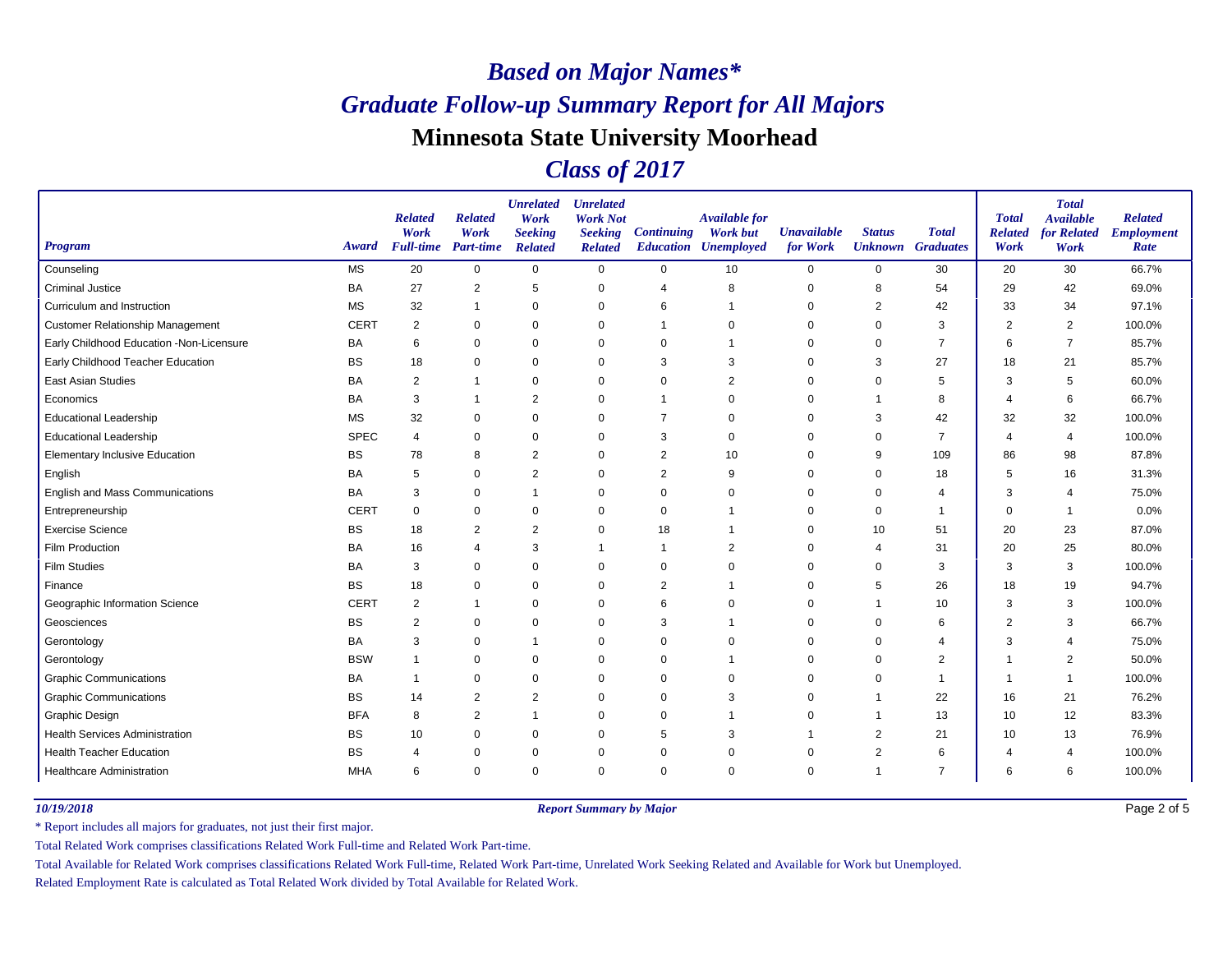### *Class of 2017*

| <b>Program</b>                           | Award       | <b>Related</b><br>Work<br><b>Full-time</b> | <b>Related</b><br>Work<br><b>Part-time</b> | <b>Unrelated</b><br>Work<br><b>Seeking</b><br><b>Related</b> | <b>Unrelated</b><br><b>Work Not</b><br><b>Seeking</b><br><b>Related</b> | <b>Continuing</b> | <b>Available for</b><br><b>Work but</b><br><b>Education Unemployed</b> | <b>Unavailable</b><br>for Work | <b>Status</b><br><b>Unknown</b> Graduates | <b>Total</b>   | <b>Total</b><br><b>Related</b><br>Work | <b>Total</b><br><b>Available</b><br>for Related<br>Work | <b>Related</b><br><b>Employment</b><br>Rate |
|------------------------------------------|-------------|--------------------------------------------|--------------------------------------------|--------------------------------------------------------------|-------------------------------------------------------------------------|-------------------|------------------------------------------------------------------------|--------------------------------|-------------------------------------------|----------------|----------------------------------------|---------------------------------------------------------|---------------------------------------------|
| Counseling                               | <b>MS</b>   | 20                                         | $\mathbf 0$                                | $\mathbf 0$                                                  | $\mathbf 0$                                                             | $\mathbf 0$       | 10                                                                     | 0                              | $\mathbf 0$                               | 30             | 20                                     | 30                                                      | 66.7%                                       |
| <b>Criminal Justice</b>                  | <b>BA</b>   | 27                                         | 2                                          | 5                                                            | 0                                                                       | $\overline{4}$    | 8                                                                      | 0                              | 8                                         | 54             | 29                                     | 42                                                      | 69.0%                                       |
| Curriculum and Instruction               | <b>MS</b>   | 32                                         |                                            | $\Omega$                                                     | $\mathbf 0$                                                             | 6                 |                                                                        | $\Omega$                       | 2                                         | 42             | 33                                     | 34                                                      | 97.1%                                       |
| <b>Customer Relationship Management</b>  | <b>CERT</b> | 2                                          | $\mathbf 0$                                | $\mathbf 0$                                                  | $\mathbf 0$                                                             |                   | $\mathbf 0$                                                            | $\Omega$                       | $\Omega$                                  | 3              | $\overline{2}$                         | 2                                                       | 100.0%                                      |
| Early Childhood Education -Non-Licensure | BA          | 6                                          | $\mathbf 0$                                | $\Omega$                                                     | 0                                                                       | 0                 |                                                                        | 0                              | $\Omega$                                  | 7              | 6                                      | $\overline{7}$                                          | 85.7%                                       |
| Early Childhood Teacher Education        | <b>BS</b>   | 18                                         | $\mathbf 0$                                | $\Omega$                                                     | $\mathbf 0$                                                             | 3                 | 3                                                                      | $\Omega$                       | 3                                         | 27             | 18                                     | 21                                                      | 85.7%                                       |
| East Asian Studies                       | <b>BA</b>   | 2                                          |                                            | $\Omega$                                                     | $\mathbf 0$                                                             | $\mathbf 0$       | $\overline{2}$                                                         | $\Omega$                       | $\Omega$                                  | 5              | 3                                      | 5                                                       | 60.0%                                       |
| Economics                                | BA          | 3                                          |                                            | $\overline{2}$                                               | $\mathbf 0$                                                             |                   | $\Omega$                                                               | $\Omega$                       |                                           | 8              | $\Delta$                               | 6                                                       | 66.7%                                       |
| <b>Educational Leadership</b>            | <b>MS</b>   | 32                                         | 0                                          | $\mathbf 0$                                                  | 0                                                                       | 7                 | $\mathbf 0$                                                            | 0                              | 3                                         | 42             | 32                                     | 32                                                      | 100.0%                                      |
| <b>Educational Leadership</b>            | <b>SPEC</b> | $\overline{4}$                             | $\mathbf 0$                                | $\Omega$                                                     | 0                                                                       | 3                 | $\Omega$                                                               | $\Omega$                       | $\mathbf 0$                               | $\overline{7}$ | $\overline{4}$                         | $\overline{4}$                                          | 100.0%                                      |
| <b>Elementary Inclusive Education</b>    | <b>BS</b>   | 78                                         | 8                                          | $\overline{2}$                                               | $\mathbf 0$                                                             | $\overline{2}$    | 10                                                                     | 0                              | 9                                         | 109            | 86                                     | 98                                                      | 87.8%                                       |
| English                                  | <b>BA</b>   | 5                                          | $\mathbf 0$                                | $\overline{2}$                                               | 0                                                                       | $\overline{2}$    | 9                                                                      | 0                              | $\mathbf 0$                               | 18             | 5                                      | 16                                                      | 31.3%                                       |
| English and Mass Communications          | <b>BA</b>   | 3                                          | $\mathbf 0$                                | $\overline{1}$                                               | 0                                                                       | $\mathbf 0$       | $\Omega$                                                               | $\Omega$                       | $\mathbf 0$                               | 4              | 3                                      | $\overline{4}$                                          | 75.0%                                       |
| Entrepreneurship                         | <b>CERT</b> | $\mathbf 0$                                | $\mathbf 0$                                | $\mathbf 0$                                                  | 0                                                                       | 0                 |                                                                        | 0                              | 0                                         | $\mathbf 1$    | $\Omega$                               | -1                                                      | 0.0%                                        |
| <b>Exercise Science</b>                  | <b>BS</b>   | 18                                         | 2                                          | $\overline{2}$                                               | 0                                                                       | 18                |                                                                        | $\Omega$                       | 10                                        | 51             | 20                                     | 23                                                      | 87.0%                                       |
| Film Production                          | BA          | 16                                         | $\overline{4}$                             | 3                                                            | $\overline{1}$                                                          | $\mathbf 1$       | $\overline{2}$                                                         | $\Omega$                       | $\overline{4}$                            | 31             | 20                                     | 25                                                      | 80.0%                                       |
| <b>Film Studies</b>                      | <b>BA</b>   | 3                                          | $\mathbf 0$                                | $\Omega$                                                     | $\mathbf 0$                                                             | 0                 | $\Omega$                                                               | $\Omega$                       | $\Omega$                                  | 3              | 3                                      | 3                                                       | 100.0%                                      |
| Finance                                  | <b>BS</b>   | 18                                         | 0                                          | $\mathbf 0$                                                  | $\mathbf 0$                                                             | $\overline{2}$    |                                                                        | $\Omega$                       | 5                                         | 26             | 18                                     | 19                                                      | 94.7%                                       |
| Geographic Information Science           | <b>CERT</b> | $\overline{2}$                             | $\overline{1}$                             | $\Omega$                                                     | $\mathbf 0$                                                             | 6                 | $\Omega$                                                               | 0                              | $\overline{1}$                            | 10             | 3                                      | 3                                                       | 100.0%                                      |
| Geosciences                              | <b>BS</b>   | $\overline{2}$                             | $\mathbf 0$                                | $\mathbf 0$                                                  | $\mathbf 0$                                                             | 3                 |                                                                        | 0                              | 0                                         | 6              | $\overline{2}$                         | 3                                                       | 66.7%                                       |
| Gerontology                              | <b>BA</b>   | 3                                          | 0                                          | $\overline{1}$                                               | 0                                                                       | $\mathbf 0$       | $\Omega$                                                               | $\Omega$                       | $\mathbf 0$                               | 4              | 3                                      | $\overline{\mathcal{A}}$                                | 75.0%                                       |
| Gerontology                              | <b>BSW</b>  | $\overline{1}$                             | $\mathbf 0$                                | $\Omega$                                                     | $\mathbf 0$                                                             | $\mathbf 0$       | -1                                                                     | 0                              | $\mathbf 0$                               | $\overline{c}$ |                                        | $\overline{2}$                                          | 50.0%                                       |
| <b>Graphic Communications</b>            | <b>BA</b>   | $\overline{1}$                             | $\Omega$                                   | $\Omega$                                                     | $\mathbf 0$                                                             | 0                 | $\Omega$                                                               | $\Omega$                       | $\Omega$                                  | -1             |                                        | -1                                                      | 100.0%                                      |
| <b>Graphic Communications</b>            | <b>BS</b>   | 14                                         | $\overline{2}$                             | $\overline{2}$                                               | $\mathbf 0$                                                             | $\mathbf 0$       | 3                                                                      | $\Omega$                       | $\overline{1}$                            | 22             | 16                                     | 21                                                      | 76.2%                                       |
| Graphic Design                           | <b>BFA</b>  | 8                                          | $\overline{2}$                             | $\overline{1}$                                               | 0                                                                       | $\mathbf 0$       | -1                                                                     | 0                              | -1                                        | 13             | 10                                     | 12                                                      | 83.3%                                       |
| <b>Health Services Administration</b>    | <b>BS</b>   | 10                                         | $\mathbf 0$                                | $\Omega$                                                     | $\mathbf 0$                                                             | 5                 | 3                                                                      |                                | 2                                         | 21             | 10                                     | 13                                                      | 76.9%                                       |
| <b>Health Teacher Education</b>          | <b>BS</b>   | $\overline{4}$                             | 0                                          | 0                                                            | 0                                                                       | 0                 | $\Omega$                                                               | $\Omega$                       | 2                                         | 6              | Δ                                      | $\overline{\mathcal{A}}$                                | 100.0%                                      |
| <b>Healthcare Administration</b>         | <b>MHA</b>  | 6                                          | $\mathbf 0$                                | $\Omega$                                                     | $\mathbf 0$                                                             | $\mathbf 0$       | 0                                                                      | $\Omega$                       | $\overline{1}$                            | $\overline{7}$ | 6                                      | 6                                                       | 100.0%                                      |

*10/19/2018 Report Summary by Major*

Page 2 of 5

\* Report includes all majors for graduates, not just their first major.

Total Related Work comprises classifications Related Work Full-time and Related Work Part-time.

Total Available for Related Work comprises classifications Related Work Full-time, Related Work Part-time, Unrelated Work Seeking Related and Available for Work but Unemployed.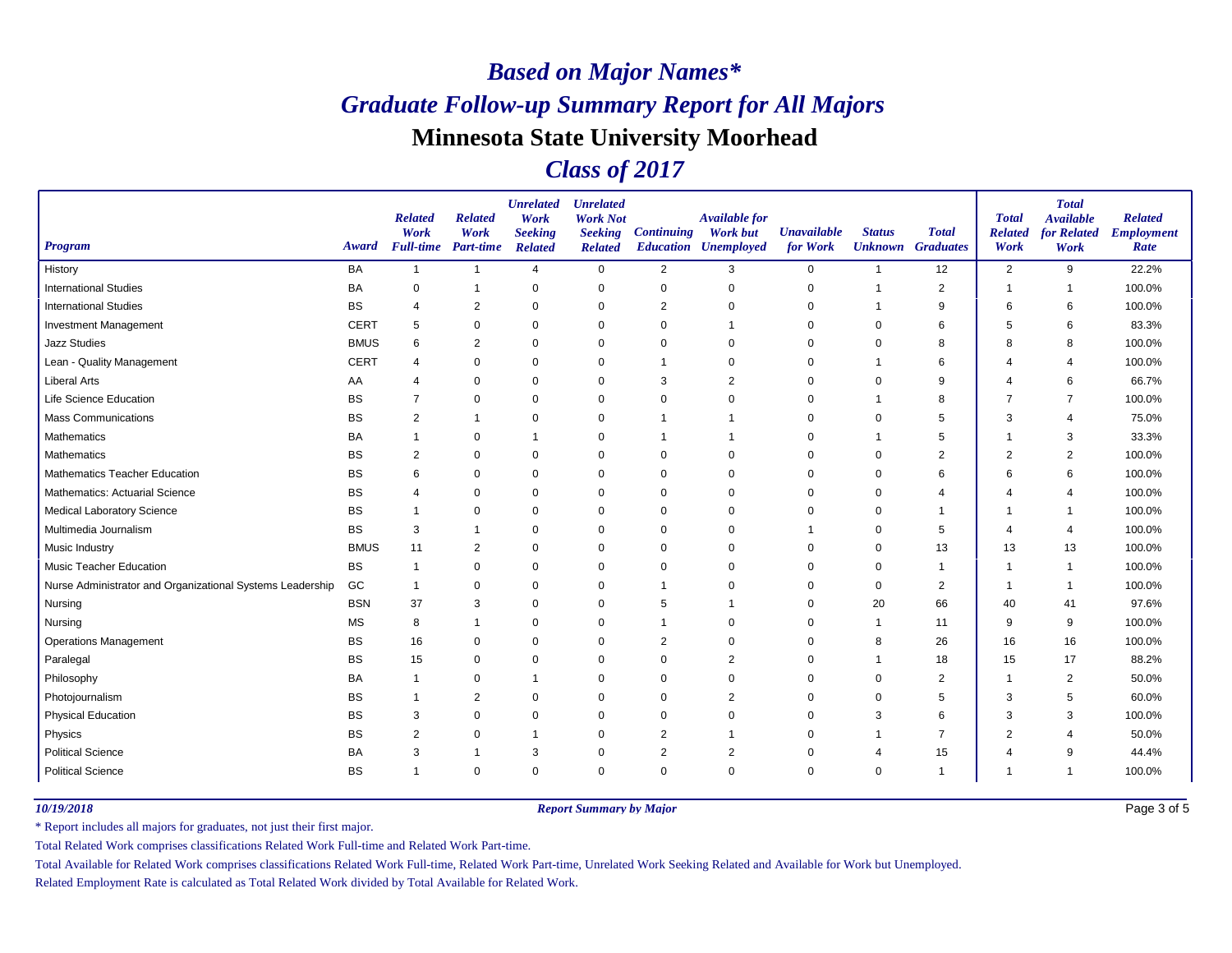### *Class of 2017*

| <b>Program</b>                                            | Award       | <b>Related</b><br>Work<br><b>Full-time</b> Part-time | <b>Related</b><br>Work | <b>Unrelated</b><br>Work<br><b>Seeking</b><br><b>Related</b> | <b>Unrelated</b><br><b>Work Not</b><br><b>Seeking</b><br><b>Related</b> | <b>Continuing</b> | <b>Available for</b><br><b>Work but</b><br><b>Education Unemployed</b> | <b>Unavailable</b><br>for Work | <b>Status</b> | <b>Total</b><br><b>Unknown</b> Graduates | <b>Total</b><br><b>Related</b><br>Work | <b>Total</b><br><b>Available</b><br>for Related<br>Work | <b>Related</b><br><b>Employment</b><br>Rate |
|-----------------------------------------------------------|-------------|------------------------------------------------------|------------------------|--------------------------------------------------------------|-------------------------------------------------------------------------|-------------------|------------------------------------------------------------------------|--------------------------------|---------------|------------------------------------------|----------------------------------------|---------------------------------------------------------|---------------------------------------------|
| History                                                   | <b>BA</b>   | $\mathbf{1}$                                         | $\overline{1}$         | $\overline{4}$                                               | $\mathbf 0$                                                             | 2                 | 3                                                                      | 0                              | 1             | 12                                       | $\overline{2}$                         | 9                                                       | 22.2%                                       |
| <b>International Studies</b>                              | BA          | 0                                                    | $\overline{1}$         | $\mathbf 0$                                                  | $\mathbf 0$                                                             | 0                 | $\mathbf 0$                                                            | 0                              | $\mathbf 1$   | $\overline{2}$                           | $\overline{1}$                         | -1                                                      | 100.0%                                      |
| <b>International Studies</b>                              | <b>BS</b>   | $\overline{4}$                                       | $\overline{2}$         | $\mathbf 0$                                                  | 0                                                                       | 2                 | 0                                                                      | 0                              |               | 9                                        | 6                                      | 6                                                       | 100.0%                                      |
| Investment Management                                     | <b>CERT</b> | 5                                                    | $\mathbf 0$            | $\mathbf 0$                                                  | 0                                                                       | $\Omega$          |                                                                        | $\Omega$                       | $\Omega$      | 6                                        | 5                                      | 6                                                       | 83.3%                                       |
| <b>Jazz Studies</b>                                       | <b>BMUS</b> | 6                                                    | $\overline{2}$         | $\mathbf 0$                                                  | $\mathbf 0$                                                             | 0                 | $\Omega$                                                               | 0                              |               | 8                                        | 8                                      | 8                                                       | 100.0%                                      |
| Lean - Quality Management                                 | <b>CERT</b> | $\overline{4}$                                       | $\mathbf 0$            | $\mathbf 0$                                                  | 0                                                                       |                   | $\Omega$                                                               | 0                              |               | 6                                        | Δ                                      | $\overline{4}$                                          | 100.0%                                      |
| <b>Liberal Arts</b>                                       | AA          | 4                                                    | $\mathbf 0$            | $\mathbf 0$                                                  | 0                                                                       | 3                 | $\overline{2}$                                                         | 0                              | $\mathbf 0$   | 9                                        | 4                                      | 6                                                       | 66.7%                                       |
| Life Science Education                                    | BS          | $\overline{7}$                                       | 0                      | 0                                                            | 0                                                                       | 0                 | $\Omega$                                                               | 0                              |               | 8                                        | 7                                      | $\overline{7}$                                          | 100.0%                                      |
| <b>Mass Communications</b>                                | BS          | 2                                                    |                        | $\mathbf 0$                                                  | 0                                                                       |                   |                                                                        | 0                              | $\Omega$      | 5                                        | 3                                      | $\overline{4}$                                          | 75.0%                                       |
| Mathematics                                               | <b>BA</b>   |                                                      | $\mathbf 0$            | -1                                                           | 0                                                                       |                   |                                                                        | 0                              |               | 5                                        |                                        | 3                                                       | 33.3%                                       |
| Mathematics                                               | BS          | 2                                                    | 0                      | $\mathbf 0$                                                  | 0                                                                       | 0                 | $\Omega$                                                               | 0                              | $\Omega$      | 2                                        | $\overline{2}$                         | $\overline{2}$                                          | 100.0%                                      |
| Mathematics Teacher Education                             | BS          | 6                                                    | $\mathbf 0$            | $\mathbf 0$                                                  | $\mathbf 0$                                                             | $\mathbf 0$       | $\Omega$                                                               | 0                              | $\mathbf 0$   | 6                                        | 6                                      | 6                                                       | 100.0%                                      |
| <b>Mathematics: Actuarial Science</b>                     | <b>BS</b>   | $\overline{4}$                                       | $\Omega$               | $\mathbf 0$                                                  | $\mathbf 0$                                                             | $\Omega$          | $\Omega$                                                               | $\Omega$                       | $\Omega$      | $\overline{4}$                           | 4                                      | $\overline{4}$                                          | 100.0%                                      |
| <b>Medical Laboratory Science</b>                         | <b>BS</b>   |                                                      | 0                      | $\mathbf 0$                                                  | $\mathbf 0$                                                             | 0                 | $\mathbf 0$                                                            | 0                              | 0             | $\mathbf{1}$                             | 1                                      | -1                                                      | 100.0%                                      |
| Multimedia Journalism                                     | <b>BS</b>   | 3                                                    |                        | 0                                                            | 0                                                                       | 0                 | $\Omega$                                                               |                                | $\Omega$      | 5                                        | Δ                                      | $\overline{4}$                                          | 100.0%                                      |
| Music Industry                                            | <b>BMUS</b> | 11                                                   | 2                      | $\mathbf 0$                                                  | $\mathbf 0$                                                             | $\Omega$          | $\Omega$                                                               | 0                              | 0             | 13                                       | 13                                     | 13                                                      | 100.0%                                      |
| <b>Music Teacher Education</b>                            | <b>BS</b>   | $\mathbf 1$                                          | 0                      | 0                                                            | 0                                                                       | 0                 | $\Omega$                                                               | 0                              | 0             | $\mathbf{1}$                             | 1                                      | -1                                                      | 100.0%                                      |
| Nurse Administrator and Organizational Systems Leadership | GC          | -1                                                   | $\mathbf 0$            | $\mathbf 0$                                                  | $\mathbf 0$                                                             |                   | $\Omega$                                                               | 0                              | 0             | $\overline{2}$                           | 1                                      |                                                         | 100.0%                                      |
| Nursing                                                   | <b>BSN</b>  | 37                                                   | 3                      | $\mathbf 0$                                                  | $\mathbf 0$                                                             | 5                 |                                                                        | $\Omega$                       | 20            | 66                                       | 40                                     | 41                                                      | 97.6%                                       |
| Nursing                                                   | <b>MS</b>   | 8                                                    | -1                     | $\mathbf 0$                                                  | 0                                                                       |                   | $\mathbf 0$                                                            | 0                              | -1            | 11                                       | 9                                      | 9                                                       | 100.0%                                      |
| <b>Operations Management</b>                              | <b>BS</b>   | 16                                                   | 0                      | $\mathbf 0$                                                  | 0                                                                       | 2                 | $\mathbf 0$                                                            | 0                              | 8             | 26                                       | 16                                     | 16                                                      | 100.0%                                      |
| Paralegal                                                 | <b>BS</b>   | 15                                                   | 0                      | $\mathbf 0$                                                  | 0                                                                       | $\Omega$          | $\overline{2}$                                                         | $\Omega$                       |               | 18                                       | 15                                     | 17                                                      | 88.2%                                       |
| Philosophy                                                | <b>BA</b>   | -1                                                   | 0                      | -1                                                           | 0                                                                       | 0                 | $\Omega$                                                               | 0                              | 0             | $\overline{2}$                           | 1                                      | $\overline{2}$                                          | 50.0%                                       |
| Photojournalism                                           | BS          |                                                      | $\overline{2}$         | $\mathbf 0$                                                  | 0                                                                       | 0                 | $\overline{2}$                                                         | 0                              | $\Omega$      | 5                                        | 3                                      | 5                                                       | 60.0%                                       |
| <b>Physical Education</b>                                 | <b>BS</b>   | 3                                                    | $\mathbf 0$            | $\mathbf 0$                                                  | $\mathbf 0$                                                             | $\Omega$          | $\Omega$                                                               | $\Omega$                       | 3             | 6                                        | 3                                      | 3                                                       | 100.0%                                      |
| Physics                                                   | ВS          | 2                                                    | 0                      | -1                                                           | 0                                                                       | 2                 |                                                                        | 0                              |               | 7                                        | $\overline{2}$                         | $\overline{4}$                                          | 50.0%                                       |
| <b>Political Science</b>                                  | BA          | 3                                                    |                        | 3                                                            | 0                                                                       | 2                 | $\overline{2}$                                                         | 0                              |               | 15                                       |                                        | 9                                                       | 44.4%                                       |
| <b>Political Science</b>                                  | <b>BS</b>   |                                                      | $\mathbf 0$            | $\mathbf 0$                                                  | $\mathbf 0$                                                             | $\Omega$          | $\Omega$                                                               | $\Omega$                       | $\Omega$      | $\mathbf{1}$                             | 1                                      |                                                         | 100.0%                                      |

*10/19/2018 Report Summary by Major*

Page 3 of 5

\* Report includes all majors for graduates, not just their first major.

Total Related Work comprises classifications Related Work Full-time and Related Work Part-time.

Total Available for Related Work comprises classifications Related Work Full-time, Related Work Part-time, Unrelated Work Seeking Related and Available for Work but Unemployed.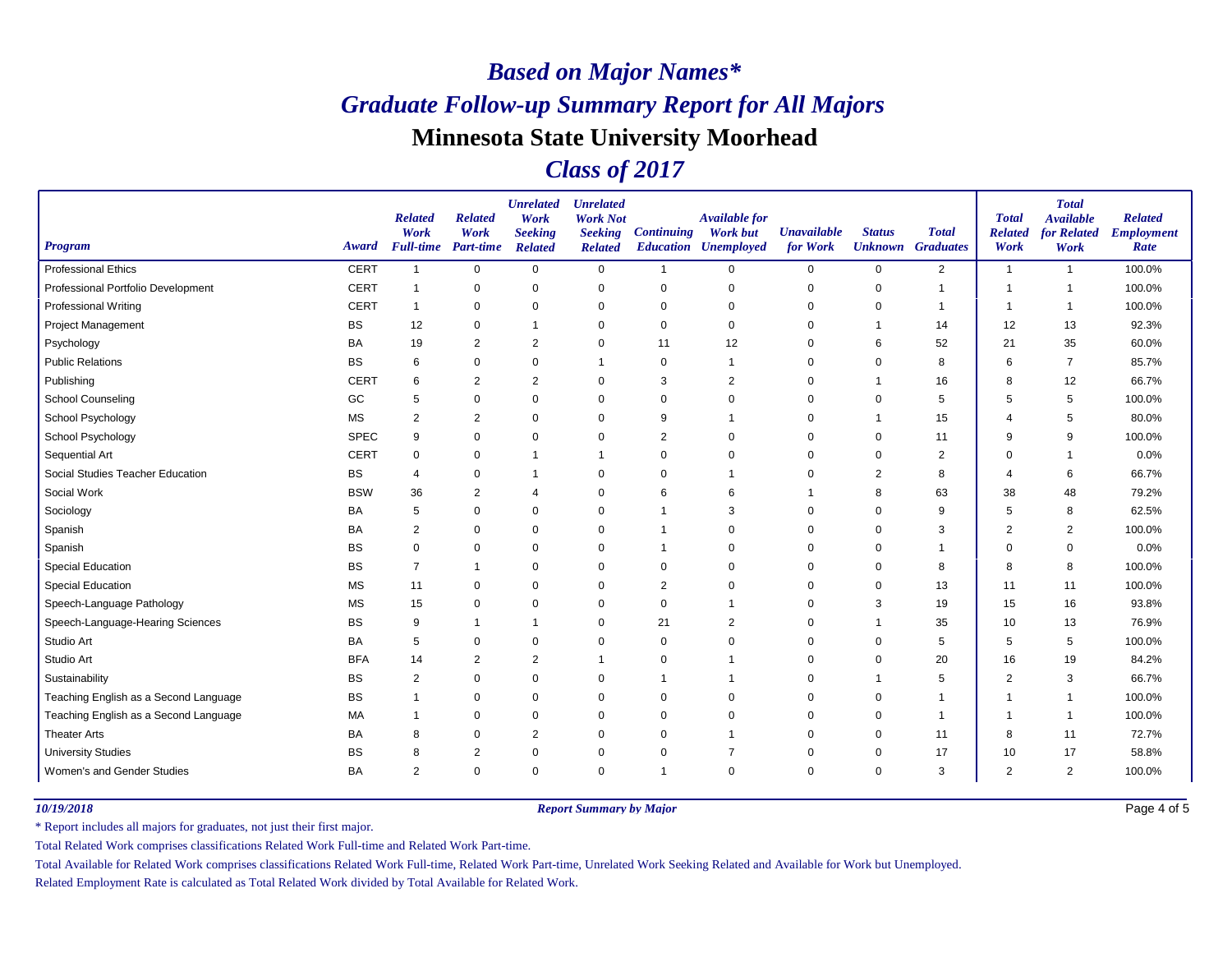### *Class of 2017*

| <b>Program</b>                        | Award       | <b>Related</b><br>Work<br><b>Full-time</b> | <b>Related</b><br>Work<br><b>Part-time</b> | <b>Unrelated</b><br>Work<br><b>Seeking</b><br><b>Related</b> | <b>Unrelated</b><br><b>Work Not</b><br><b>Seeking</b><br><b>Related</b> | <b>Continuing</b> | <b>Available for</b><br><b>Work but</b><br><b>Education Unemployed</b> | <b>Unavailable</b><br>for Work | <b>Status</b> | <b>Total</b><br><b>Unknown</b> Graduates | <b>Total</b><br><b>Related</b><br>Work | <b>Total</b><br><b>Available</b><br>for Related<br>Work | <b>Related</b><br><b>Employment</b><br>Rate |
|---------------------------------------|-------------|--------------------------------------------|--------------------------------------------|--------------------------------------------------------------|-------------------------------------------------------------------------|-------------------|------------------------------------------------------------------------|--------------------------------|---------------|------------------------------------------|----------------------------------------|---------------------------------------------------------|---------------------------------------------|
| <b>Professional Ethics</b>            | <b>CERT</b> | -1                                         | $\mathbf 0$                                | $\mathbf 0$                                                  | $\mathbf 0$                                                             | $\overline{1}$    | $\mathbf 0$                                                            | 0                              | $\mathbf 0$   | 2                                        | $\mathbf{1}$                           | $\overline{1}$                                          | 100.0%                                      |
| Professional Portfolio Development    | <b>CERT</b> | $\mathbf{1}$                               | 0                                          | $\mathbf 0$                                                  | 0                                                                       | 0                 | 0                                                                      | 0                              | 0             | $\mathbf{1}$                             | -1                                     | -1                                                      | 100.0%                                      |
| <b>Professional Writing</b>           | <b>CERT</b> | $\mathbf{1}$                               | $\mathbf 0$                                | $\Omega$                                                     | $\mathbf 0$                                                             | $\mathbf 0$       | $\mathbf 0$                                                            | $\mathbf 0$                    | 0             |                                          | -1                                     |                                                         | 100.0%                                      |
| <b>Project Management</b>             | <b>BS</b>   | 12                                         | $\mathbf 0$                                | $\mathbf 1$                                                  | $\mathbf 0$                                                             | $\mathbf 0$       | $\mathbf 0$                                                            | 0                              | 1             | 14                                       | 12                                     | 13                                                      | 92.3%                                       |
| Psychology                            | BA          | 19                                         | $\overline{2}$                             | $\overline{2}$                                               | 0                                                                       | 11                | 12                                                                     | 0                              | 6             | 52                                       | 21                                     | 35                                                      | 60.0%                                       |
| <b>Public Relations</b>               | BS          | 6                                          | $\mathbf 0$                                | $\mathbf 0$                                                  | $\overline{1}$                                                          | $\mathbf 0$       | -1                                                                     | $\mathbf 0$                    | 0             | 8                                        | 6                                      | $\overline{7}$                                          | 85.7%                                       |
| Publishing                            | <b>CERT</b> | 6                                          | $\overline{2}$                             | 2                                                            | $\mathbf 0$                                                             | 3                 | 2                                                                      | 0                              | 1             | 16                                       | 8                                      | 12                                                      | 66.7%                                       |
| <b>School Counseling</b>              | GC          | 5                                          | $\mathbf 0$                                | $\mathbf 0$                                                  | $\mathbf 0$                                                             | $\mathbf 0$       | $\Omega$                                                               | 0                              | $\mathbf 0$   | 5                                        | 5                                      | 5                                                       | 100.0%                                      |
| School Psychology                     | <b>MS</b>   | 2                                          | $\overline{2}$                             | $\mathbf 0$                                                  | 0                                                                       | 9                 | -1                                                                     | 0                              | -1            | 15                                       | 4                                      | 5                                                       | 80.0%                                       |
| School Psychology                     | <b>SPEC</b> | 9                                          | $\mathbf 0$                                | $\Omega$                                                     | $\mathbf 0$                                                             | $\overline{2}$    | $\mathbf 0$                                                            | 0                              | 0             | 11                                       | 9                                      | 9                                                       | 100.0%                                      |
| Sequential Art                        | <b>CERT</b> | $\mathbf 0$                                | $\mathbf 0$                                | $\mathbf 1$                                                  | $\overline{1}$                                                          | $\mathbf 0$       | $\Omega$                                                               | 0                              | $\mathbf 0$   | 2                                        | $\Omega$                               | -1                                                      | 0.0%                                        |
| Social Studies Teacher Education      | <b>BS</b>   | $\overline{4}$                             | $\mathbf 0$                                | $\mathbf 1$                                                  | $\mathbf 0$                                                             | $\mathbf 0$       | -1                                                                     | 0                              | 2             | 8                                        | 4                                      | 6                                                       | 66.7%                                       |
| Social Work                           | <b>BSW</b>  | 36                                         | $\overline{2}$                             | $\overline{4}$                                               | $\mathbf 0$                                                             | 6                 | 6                                                                      |                                | 8             | 63                                       | 38                                     | 48                                                      | 79.2%                                       |
| Sociology                             | BA          | 5                                          | $\mathbf 0$                                | $\mathbf 0$                                                  | 0                                                                       | -1                | 3                                                                      | 0                              | $\mathbf 0$   | 9                                        | 5                                      | 8                                                       | 62.5%                                       |
| Spanish                               | BA          | 2                                          | 0                                          | $\Omega$                                                     | $\mathbf 0$                                                             | 1                 | $\mathbf 0$                                                            | 0                              | 0             | 3                                        | 2                                      | $\overline{2}$                                          | 100.0%                                      |
| Spanish                               | <b>BS</b>   | $\mathbf 0$                                | $\mathbf 0$                                | $\Omega$                                                     | $\mathbf 0$                                                             | -1                | $\mathbf 0$                                                            | 0                              | $\mathbf 0$   |                                          | $\Omega$                               | $\mathbf 0$                                             | 0.0%                                        |
| <b>Special Education</b>              | BS          | $\overline{7}$                             |                                            | $\Omega$                                                     | $\Omega$                                                                | $\mathbf 0$       | $\Omega$                                                               | 0                              | $\mathbf 0$   | 8                                        | 8                                      | 8                                                       | 100.0%                                      |
| <b>Special Education</b>              | <b>MS</b>   | 11                                         | $\mathbf 0$                                | $\mathbf 0$                                                  | 0                                                                       | 2                 | $\mathbf 0$                                                            | 0                              | 0             | 13                                       | 11                                     | 11                                                      | 100.0%                                      |
| Speech-Language Pathology             | <b>MS</b>   | 15                                         | $\mathbf 0$                                | $\Omega$                                                     | $\mathbf 0$                                                             | $\mathbf 0$       | 1                                                                      | 0                              | 3             | 19                                       | 15                                     | 16                                                      | 93.8%                                       |
| Speech-Language-Hearing Sciences      | BS          | 9                                          |                                            | -1                                                           | $\mathbf 0$                                                             | 21                | $\overline{2}$                                                         | 0                              | -1            | 35                                       | 10                                     | 13                                                      | 76.9%                                       |
| Studio Art                            | BA          | 5                                          | 0                                          | $\mathbf 0$                                                  | 0                                                                       | 0                 | $\mathbf 0$                                                            | 0                              | $\mathbf 0$   | 5                                        | 5                                      | 5                                                       | 100.0%                                      |
| Studio Art                            | <b>BFA</b>  | 14                                         | $\overline{2}$                             | $\overline{2}$                                               | $\overline{1}$                                                          | $\mathbf 0$       | $\overline{1}$                                                         | 0                              | 0             | 20                                       | 16                                     | 19                                                      | 84.2%                                       |
| Sustainability                        | BS          | $\overline{2}$                             | $\Omega$                                   | $\Omega$                                                     | $\mathbf 0$                                                             | $\mathbf{1}$      | -1                                                                     | 0                              | -1            | 5                                        | $\overline{2}$                         | 3                                                       | 66.7%                                       |
| Teaching English as a Second Language | BS          | -1                                         | $\mathbf 0$                                | $\mathbf 0$                                                  | $\mathbf 0$                                                             | $\mathbf 0$       | $\mathbf 0$                                                            | 0                              | $\mathbf 0$   | $\mathbf 1$                              | 1                                      | $\overline{1}$                                          | 100.0%                                      |
| Teaching English as a Second Language | MA          | -1                                         | 0                                          | $\mathbf 0$                                                  | 0                                                                       | $\mathbf 0$       | $\mathbf 0$                                                            | 0                              | 0             | $\mathbf{1}$                             | $\overline{1}$                         | -1                                                      | 100.0%                                      |
| <b>Theater Arts</b>                   | BA          | 8                                          | $\mathbf 0$                                | $\overline{2}$                                               | $\mathbf 0$                                                             | $\Omega$          |                                                                        | 0                              | 0             | 11                                       | 8                                      | 11                                                      | 72.7%                                       |
| <b>University Studies</b>             | BS          | 8                                          | 2                                          | 0                                                            | 0                                                                       | 0                 | $\overline{7}$                                                         | 0                              | 0             | 17                                       | 10                                     | 17                                                      | 58.8%                                       |
| Women's and Gender Studies            | BA          | $\overline{2}$                             | $\mathbf 0$                                | $\Omega$                                                     | $\mathbf 0$                                                             | $\overline{1}$    | $\mathbf 0$                                                            | 0                              | 0             | 3                                        | 2                                      | 2                                                       | 100.0%                                      |

*10/19/2018 Report Summary by Major*

Page 4 of 5

\* Report includes all majors for graduates, not just their first major.

Total Related Work comprises classifications Related Work Full-time and Related Work Part-time.

Total Available for Related Work comprises classifications Related Work Full-time, Related Work Part-time, Unrelated Work Seeking Related and Available for Work but Unemployed.